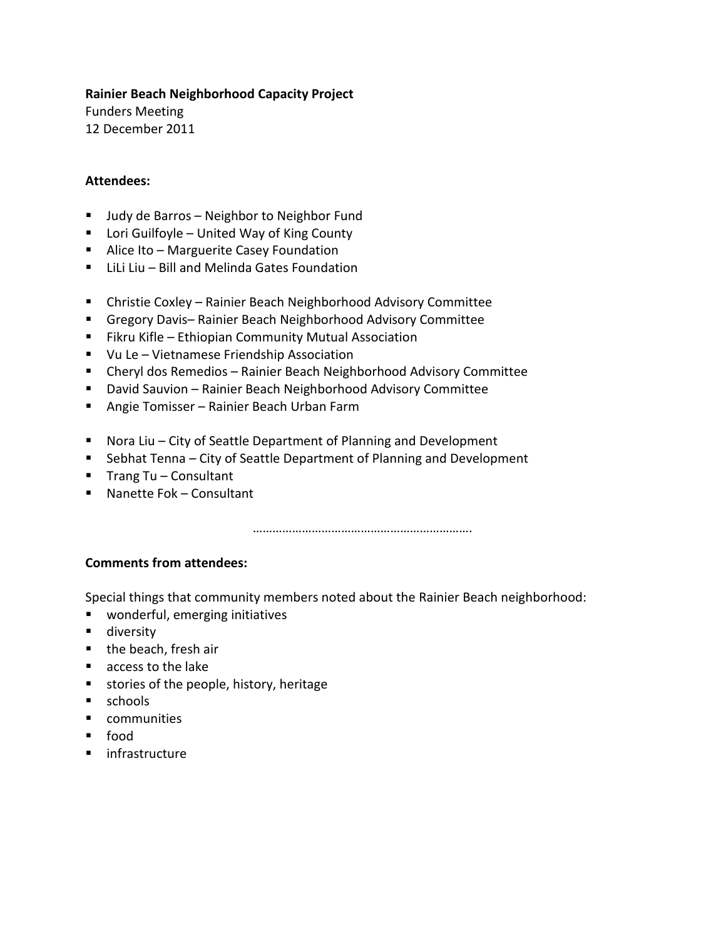#### **Rainier Beach Neighborhood Capacity Project**

Funders Meeting 12 December 2011

#### **Attendees:**

- Judy de Barros Neighbor to Neighbor Fund
- Lori Guilfoyle United Way of King County
- **Alice Ito Marguerite Casey Foundation**
- **E** LiLi Liu Bill and Melinda Gates Foundation
- Christie Coxley Rainier Beach Neighborhood Advisory Committee
- Gregory Davis– Rainier Beach Neighborhood Advisory Committee
- **Fikru Kifle Ethiopian Community Mutual Association**
- Vu Le Vietnamese Friendship Association
- Cheryl dos Remedios Rainier Beach Neighborhood Advisory Committee
- David Sauvion Rainier Beach Neighborhood Advisory Committee
- Angie Tomisser Rainier Beach Urban Farm
- Nora Liu City of Seattle Department of Planning and Development
- Sebhat Tenna City of Seattle Department of Planning and Development
- Trang Tu  $-$  Consultant
- Nanette Fok Consultant

………………………………………………………….

## **Comments from attendees:**

Special things that community members noted about the Rainier Beach neighborhood:

- wonderful, emerging initiatives
- **diversity**
- the beach, fresh air
- **access to the lake**
- **stories of the people, history, heritage**
- **schools**
- **•** communities
- food
- **n** infrastructure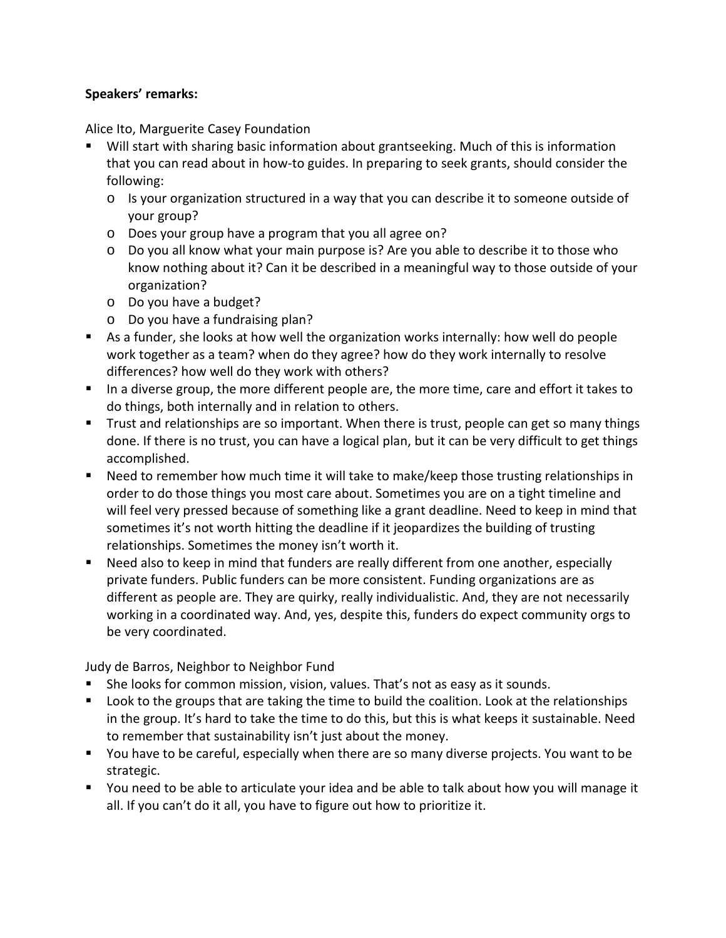## **Speakers' remarks:**

Alice Ito, Marguerite Casey Foundation

- Will start with sharing basic information about grantseeking. Much of this is information that you can read about in how-to guides. In preparing to seek grants, should consider the following:
	- $\circ$  Is your organization structured in a way that you can describe it to someone outside of your group?
	- o Does your group have a program that you all agree on?
	- o Do you all know what your main purpose is? Are you able to describe it to those who know nothing about it? Can it be described in a meaningful way to those outside of your organization?
	- o Do you have a budget?
	- o Do you have a fundraising plan?
- As a funder, she looks at how well the organization works internally: how well do people work together as a team? when do they agree? how do they work internally to resolve differences? how well do they work with others?
- In a diverse group, the more different people are, the more time, care and effort it takes to do things, both internally and in relation to others.
- Trust and relationships are so important. When there is trust, people can get so many things done. If there is no trust, you can have a logical plan, but it can be very difficult to get things accomplished.
- Need to remember how much time it will take to make/keep those trusting relationships in order to do those things you most care about. Sometimes you are on a tight timeline and will feel very pressed because of something like a grant deadline. Need to keep in mind that sometimes it's not worth hitting the deadline if it jeopardizes the building of trusting relationships. Sometimes the money isn't worth it.
- Need also to keep in mind that funders are really different from one another, especially private funders. Public funders can be more consistent. Funding organizations are as different as people are. They are quirky, really individualistic. And, they are not necessarily working in a coordinated way. And, yes, despite this, funders do expect community orgs to be very coordinated.

Judy de Barros, Neighbor to Neighbor Fund

- She looks for common mission, vision, values. That's not as easy as it sounds.
- **Lettuan** Look to the groups that are taking the time to build the coalition. Look at the relationships in the group. It's hard to take the time to do this, but this is what keeps it sustainable. Need to remember that sustainability isn't just about the money.
- You have to be careful, especially when there are so many diverse projects. You want to be strategic.
- You need to be able to articulate your idea and be able to talk about how you will manage it all. If you can't do it all, you have to figure out how to prioritize it.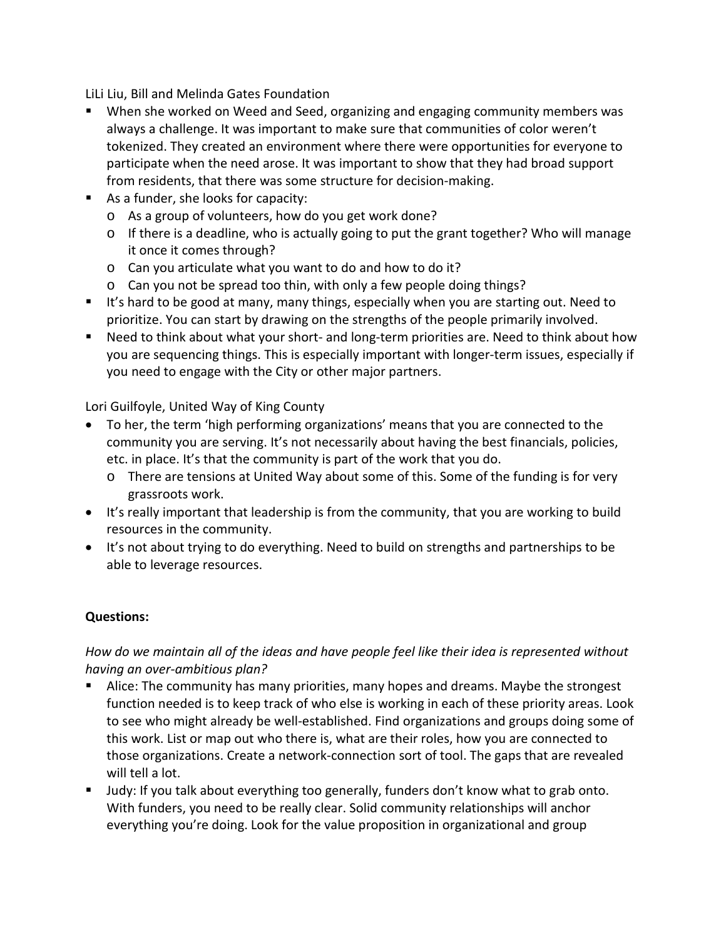LiLi Liu, Bill and Melinda Gates Foundation

- When she worked on Weed and Seed, organizing and engaging community members was always a challenge. It was important to make sure that communities of color weren't tokenized. They created an environment where there were opportunities for everyone to participate when the need arose. It was important to show that they had broad support from residents, that there was some structure for decision-making.
- As a funder, she looks for capacity:
	- o As a group of volunteers, how do you get work done?
	- o If there is a deadline, who is actually going to put the grant together? Who will manage it once it comes through?
	- o Can you articulate what you want to do and how to do it?
	- o Can you not be spread too thin, with only a few people doing things?
- If it's hard to be good at many, many things, especially when you are starting out. Need to prioritize. You can start by drawing on the strengths of the people primarily involved.
- Need to think about what your short- and long-term priorities are. Need to think about how you are sequencing things. This is especially important with longer-term issues, especially if you need to engage with the City or other major partners.

Lori Guilfoyle, United Way of King County

- To her, the term 'high performing organizations' means that you are connected to the community you are serving. It's not necessarily about having the best financials, policies, etc. in place. It's that the community is part of the work that you do.
	- o There are tensions at United Way about some of this. Some of the funding is for very grassroots work.
- It's really important that leadership is from the community, that you are working to build resources in the community.
- It's not about trying to do everything. Need to build on strengths and partnerships to be able to leverage resources.

## **Questions:**

## *How do we maintain all of the ideas and have people feel like their idea is represented without having an over-ambitious plan?*

- Alice: The community has many priorities, many hopes and dreams. Maybe the strongest function needed is to keep track of who else is working in each of these priority areas. Look to see who might already be well-established. Find organizations and groups doing some of this work. List or map out who there is, what are their roles, how you are connected to those organizations. Create a network-connection sort of tool. The gaps that are revealed will tell a lot.
- Judy: If you talk about everything too generally, funders don't know what to grab onto. With funders, you need to be really clear. Solid community relationships will anchor everything you're doing. Look for the value proposition in organizational and group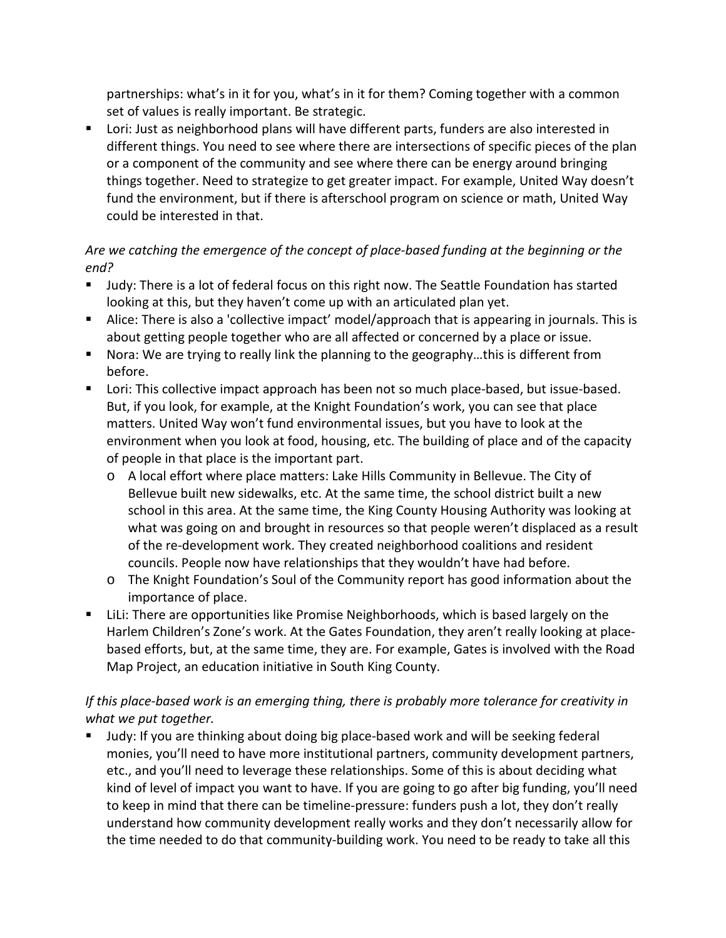partnerships: what's in it for you, what's in it for them? Coming together with a common set of values is really important. Be strategic.

**DED** Lori: Just as neighborhood plans will have different parts, funders are also interested in different things. You need to see where there are intersections of specific pieces of the plan or a component of the community and see where there can be energy around bringing things together. Need to strategize to get greater impact. For example, United Way doesn't fund the environment, but if there is afterschool program on science or math, United Way could be interested in that.

# *Are we catching the emergence of the concept of place-based funding at the beginning or the end?*

- Judy: There is a lot of federal focus on this right now. The Seattle Foundation has started looking at this, but they haven't come up with an articulated plan yet.
- Alice: There is also a 'collective impact' model/approach that is appearing in journals. This is about getting people together who are all affected or concerned by a place or issue.
- Nora: We are trying to really link the planning to the geography...this is different from before.
- **DRET Lori: This collective impact approach has been not so much place-based, but issue-based.** But, if you look, for example, at the Knight Foundation's work, you can see that place matters. United Way won't fund environmental issues, but you have to look at the environment when you look at food, housing, etc. The building of place and of the capacity of people in that place is the important part.
	- o A local effort where place matters: Lake Hills Community in Bellevue. The City of Bellevue built new sidewalks, etc. At the same time, the school district built a new school in this area. At the same time, the King County Housing Authority was looking at what was going on and brought in resources so that people weren't displaced as a result of the re-development work. They created neighborhood coalitions and resident councils. People now have relationships that they wouldn't have had before.
	- o The Knight Foundation's Soul of the Community report has good information about the importance of place.
- LiLi: There are opportunities like Promise Neighborhoods, which is based largely on the Harlem Children's Zone's work. At the Gates Foundation, they aren't really looking at placebased efforts, but, at the same time, they are. For example, Gates is involved with the Road Map Project, an education initiative in South King County.

## *If this place-based work is an emerging thing, there is probably more tolerance for creativity in what we put together.*

 Judy: If you are thinking about doing big place-based work and will be seeking federal monies, you'll need to have more institutional partners, community development partners, etc., and you'll need to leverage these relationships. Some of this is about deciding what kind of level of impact you want to have. If you are going to go after big funding, you'll need to keep in mind that there can be timeline-pressure: funders push a lot, they don't really understand how community development really works and they don't necessarily allow for the time needed to do that community-building work. You need to be ready to take all this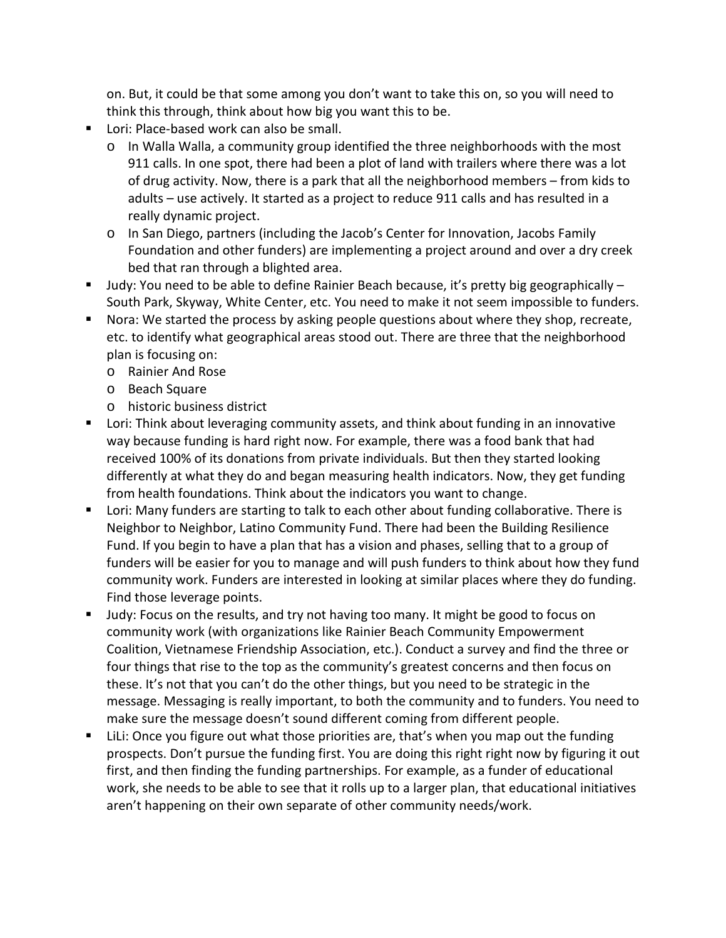on. But, it could be that some among you don't want to take this on, so you will need to think this through, think about how big you want this to be.

- **Lori: Place-based work can also be small.** 
	- $\circ$  In Walla Walla, a community group identified the three neighborhoods with the most 911 calls. In one spot, there had been a plot of land with trailers where there was a lot of drug activity. Now, there is a park that all the neighborhood members – from kids to adults – use actively. It started as a project to reduce 911 calls and has resulted in a really dynamic project.
	- o In San Diego, partners (including the Jacob's Center for Innovation, Jacobs Family Foundation and other funders) are implementing a project around and over a dry creek bed that ran through a blighted area.
- **Judy:** You need to be able to define Rainier Beach because, it's pretty big geographically  $-$ South Park, Skyway, White Center, etc. You need to make it not seem impossible to funders.
- **Nora: We started the process by asking people questions about where they shop, recreate,** etc. to identify what geographical areas stood out. There are three that the neighborhood plan is focusing on:
	- o Rainier And Rose
	- o Beach Square
	- o historic business district
- **E** Lori: Think about leveraging community assets, and think about funding in an innovative way because funding is hard right now. For example, there was a food bank that had received 100% of its donations from private individuals. But then they started looking differently at what they do and began measuring health indicators. Now, they get funding from health foundations. Think about the indicators you want to change.
- **E** Lori: Many funders are starting to talk to each other about funding collaborative. There is Neighbor to Neighbor, Latino Community Fund. There had been the Building Resilience Fund. If you begin to have a plan that has a vision and phases, selling that to a group of funders will be easier for you to manage and will push funders to think about how they fund community work. Funders are interested in looking at similar places where they do funding. Find those leverage points.
- **ULD 10.** Judy: Focus on the results, and try not having too many. It might be good to focus on community work (with organizations like Rainier Beach Community Empowerment Coalition, Vietnamese Friendship Association, etc.). Conduct a survey and find the three or four things that rise to the top as the community's greatest concerns and then focus on these. It's not that you can't do the other things, but you need to be strategic in the message. Messaging is really important, to both the community and to funders. You need to make sure the message doesn't sound different coming from different people.
- LiLi: Once you figure out what those priorities are, that's when you map out the funding prospects. Don't pursue the funding first. You are doing this right right now by figuring it out first, and then finding the funding partnerships. For example, as a funder of educational work, she needs to be able to see that it rolls up to a larger plan, that educational initiatives aren't happening on their own separate of other community needs/work.